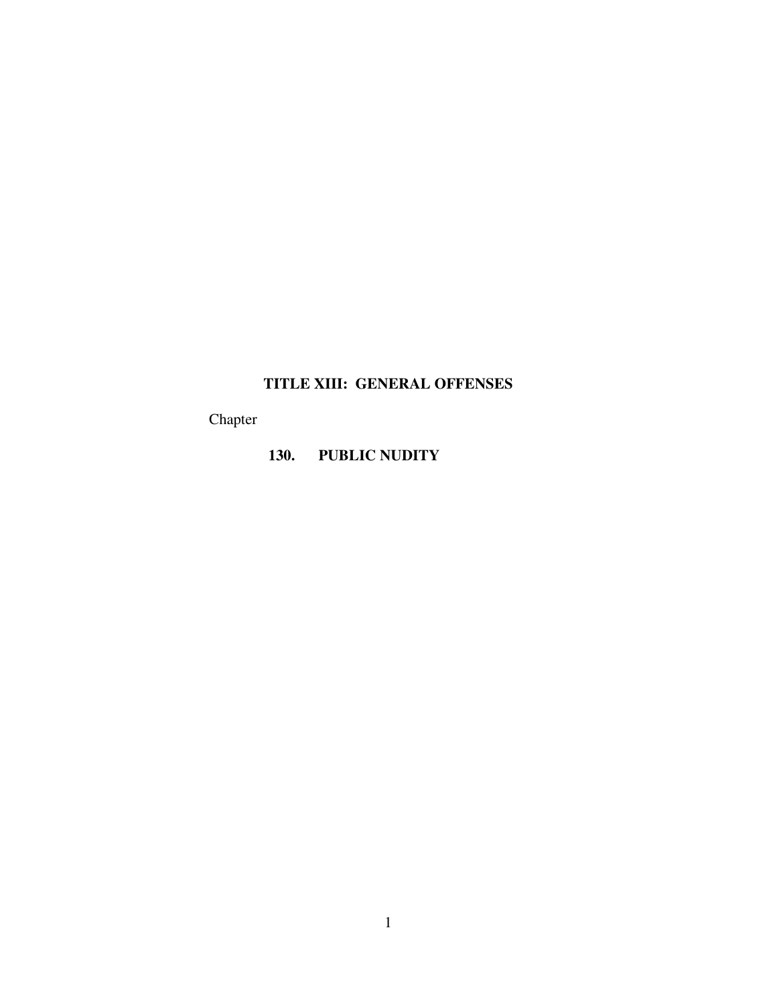# **TITLE XIII: GENERAL OFFENSES**

Chapter

## **130. PUBLIC NUDITY**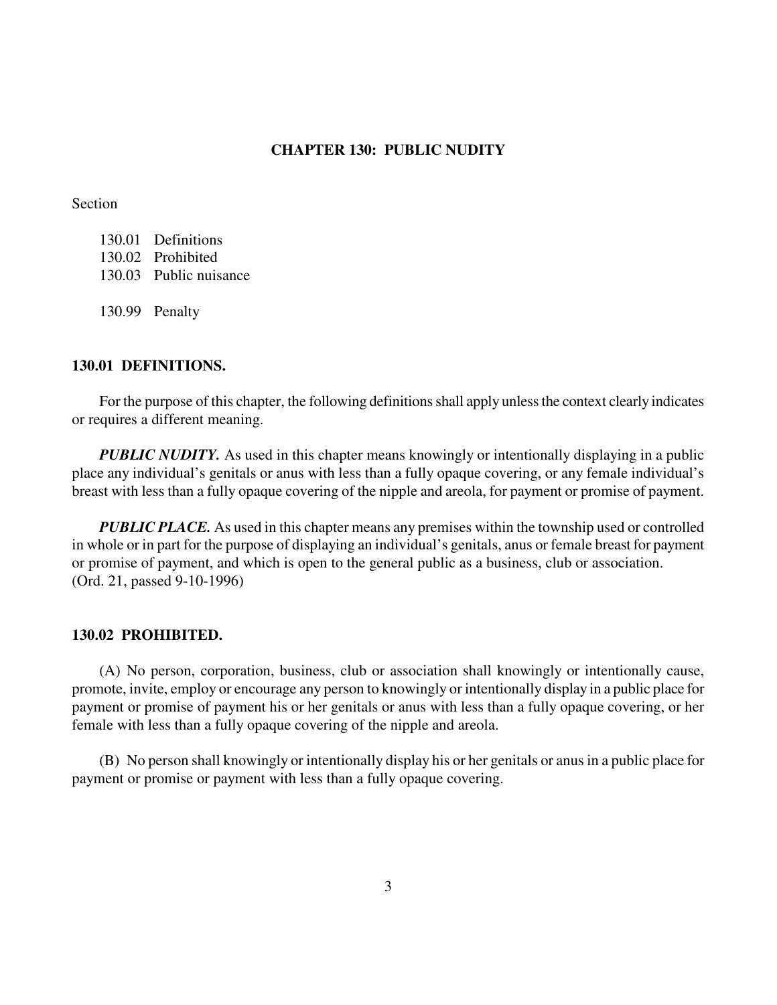### **CHAPTER 130: PUBLIC NUDITY**

Section

| 130.01 Definitions     |
|------------------------|
| 130.02 Prohibited      |
| 130.03 Public nuisance |
|                        |
| 130.99 Penalty         |

#### **130.01 DEFINITIONS.**

For the purpose of this chapter, the following definitions shall apply unless the context clearly indicates or requires a different meaning.

*PUBLIC NUDITY*. As used in this chapter means knowingly or intentionally displaying in a public place any individual's genitals or anus with less than a fully opaque covering, or any female individual's breast with less than a fully opaque covering of the nipple and areola, for payment or promise of payment.

*PUBLIC PLACE.* As used in this chapter means any premises within the township used or controlled in whole or in part for the purpose of displaying an individual's genitals, anus or female breast for payment or promise of payment, and which is open to the general public as a business, club or association. (Ord. 21, passed 9-10-1996)

#### **130.02 PROHIBITED.**

(A) No person, corporation, business, club or association shall knowingly or intentionally cause, promote, invite, employ or encourage any person to knowingly or intentionally display in a public place for payment or promise of payment his or her genitals or anus with less than a fully opaque covering, or her female with less than a fully opaque covering of the nipple and areola.

(B) No person shall knowingly or intentionally display his or her genitals or anus in a public place for payment or promise or payment with less than a fully opaque covering.